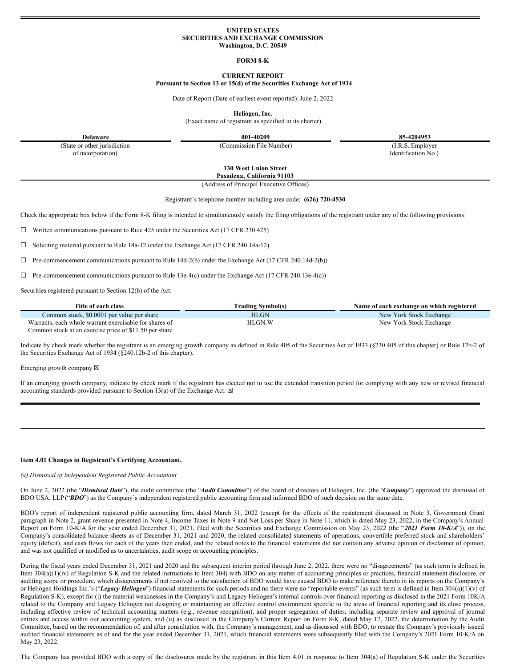### **UNITED STATES SECURITIES AND EXCHANGE COMMISSION Washington, D.C. 20549**

## **FORM 8-K**

## **CURRENT REPORT**

### **Pursuant to Section 13 or 15(d) of the Securities Exchange Act of 1934**

Date of Report (Date of earliest event reported): June 2, 2022

**Heliogen, Inc.**

(Exact name of registrant as specified in its charter)

**Delaware 001-40209 85-4204953**

(State or other jurisdiction of incorporation)

(Commission File Number) (I.R.S. Employer

Identification No.)

**130 West Union Street Pasadena, California 91103**

(Address of Principal Executive Offices)

Registrant's telephone number including area code: **(626) 720-4530**

Check the appropriate box below if the Form 8-K filing is intended to simultaneously satisfy the filing obligations of the registrant under any of the following provisions:

 $\Box$  Written communications pursuant to Rule 425 under the Securities Act (17 CFR 230.425)

☐ Soliciting material pursuant to Rule 14a-12 under the Exchange Act (17 CFR 240.14a-12)

 $\Box$  Pre-commencement communications pursuant to Rule 14d-2(b) under the Exchange Act (17 CFR 240.14d-2(b))

 $\Box$  Pre-commencement communications pursuant to Rule 13e-4(c) under the Exchange Act (17 CFR 240.13e-4(c))

Securities registered pursuant to Section 12(b) of the Act:

| Title of each class                                    | Trading Symbol(s) | Name of each exchange on which registered |
|--------------------------------------------------------|-------------------|-------------------------------------------|
| Common stock, \$0,0001 par value per share             | <b>HLGN</b>       | New York Stock Exchange                   |
| Warrants, each whole warrant exercisable for shares of | HLGN.W            | New York Stock Exchange                   |
| Common stock at an exercise price of \$11.50 per share |                   |                                           |

Indicate by check mark whether the registrant is an emerging growth company as defined in Rule 405 of the Securities Act of 1933 (§230.405 of this chapter) or Rule 12b-2 of the Securities Exchange Act of 1934 (§240.12b-2 of this chapter).

Emerging growth company  $\boxtimes$ 

If an emerging growth company, indicate by check mark if the registrant has elected not to use the extended transition period for complying with any new or revised financial accounting standards provided pursuant to Section 13(a) of the Exchange Act.  $\boxtimes$ 

#### **Item 4.01 Changes in Registrant's Certifying Accountant.**

#### *(a) Dismissal of Independent Registered Public Accountant*

On June 2, 2022 (the "*Dismissal Date*"), the audit committee (the "*Audit Committee*") of the board of directors of Heliogen, Inc. (the "*Company*") approved the dismissal of BDO USA, LLP ("*BDO*") as the Company's independent registered public accounting firm and informed BDO of such decision on the same date.

BDO's report of independent registered public accounting firm, dated March 31, 2022 (except for the effects of the restatement discussed in Note 3, Government Grant paragraph in Note 2, grant revenue presented in Note 4, Income Taxes in Note 9 and Net Loss per Share in Note 11, which is dated May 23, 2022, in the Company's Annual Report on Form 10-K/A for the year ended December 31, 2021, filed with the Securities and Exchange Commission on May 23, 2022 (the "*2021 Form 10-K/A*")), on the Company's consolidated balance sheets as of December 31, 2021 and 2020, the related consolidated statements of operations, convertible preferred stock and shareholders' equity (deficit), and cash flows for each of the years then ended, and the related notes to the financial statements did not contain any adverse opinion or disclaimer of opinion, and was not qualified or modified as to uncertainties, audit scope or accounting principles.

During the fiscal years ended December 31, 2021 and 2020 and the subsequent interim period through June 2, 2022, there were no "disagreements" (as such term is defined in Item 304(a)(1)(iv) of Regulation S-K and the related instructions to Item 304) with BDO on any matter of accounting principles or practices, financial statement disclosure, or auditing scope or procedure, which disagreements if not resolved to the satisfaction of BDO would have caused BDO to make reference thereto in its reports on the Company's or Heliogen Holdings Inc.'s ("Legacy Heliogen") financial statements for such periods and no there were no "reportable events" (as such term is defined in Item 304(a)(1)(v) of Regulation S-K), except for (i) the material weaknesses in the Company's and Legacy Heliogen's internal controls over financial reporting as disclosed in the 2021 Form 10K/A related to the Company and Legacy Heliogen not designing or maintaining an effective control environment specific to the areas of financial reporting and its close process, including effective review of technical accounting matters (e.g., revenue recognition), and proper segregation of duties, including separate review and approval of journal entries and access within our accounting system, and (ii) as disclosed in the Company's Current Report on Form 8-K, dated May 17, 2022, the determination by the Audit Committee, based on the recommendation of, and after consultation with, the Company's management, and as discussed with BDO, to restate the Company's previously issued audited financial statements as of and for the year ended December 31, 2021, which financial statements were subsequently filed with the Company's 2021 Form 10-K/A on May 23, 2022.

The Company has provided BDO with a copy of the disclosures made by the registrant in this Item 4.01 in response to Item 304(a) of Regulation S-K under the Securities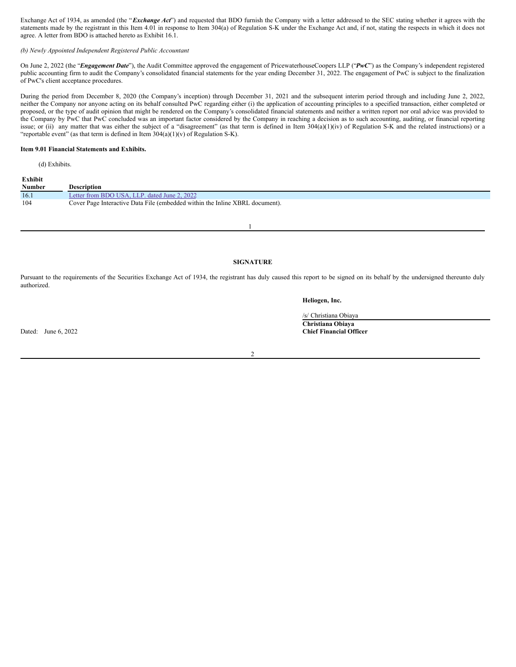Exchange Act of 1934, as amended (the "*Exchange Act*") and requested that BDO furnish the Company with a letter addressed to the SEC stating whether it agrees with the statements made by the registrant in this Item 4.01 in response to Item 304(a) of Regulation S-K under the Exchange Act and, if not, stating the respects in which it does not agree. A letter from BDO is attached hereto as Exhibit 16.1.

# *(b) Newly Appointed Independent Registered Public Accountant*

On June 2, 2022 (the "*Engagement Date*"), the Audit Committee approved the engagement of PricewaterhouseCoopers LLP ("*PwC*") as the Company's independent registered public accounting firm to audit the Company's consolidated financial statements for the year ending December 31, 2022. The engagement of PwC is subject to the finalization of PwC's client acceptance procedures.

During the period from December 8, 2020 (the Company's inception) through December 31, 2021 and the subsequent interim period through and including June 2, 2022, neither the Company nor anyone acting on its behalf consulted PwC regarding either (i) the application of accounting principles to a specified transaction, either completed or proposed, or the type of audit opinion that might be rendered on the Company's consolidated financial statements and neither a written report nor oral advice was provided to the Company by PwC that PwC concluded was an important factor considered by the Company in reaching a decision as to such accounting, auditing, or financial reporting issue; or (ii) any matter that was either the subject of a "disagreement" (as that term is defined in Item 304(a)(1)(iv) of Regulation S-K and the related instructions) or a "reportable event" (as that term is defined in Item 304(a)(1)(v) of Regulation S-K).

## **Item 9.01 Financial Statements and Exhibits.**

(d) Exhibits.

| Exhibit |                                                                              |
|---------|------------------------------------------------------------------------------|
| Number  | <b>Description</b>                                                           |
| 16.1    | Letter from BDO USA, LLP, dated June 2, 2022                                 |
| 104     | Cover Page Interactive Data File (embedded within the Inline XBRL document). |
|         |                                                                              |

1

# **SIGNATURE**

Pursuant to the requirements of the Securities Exchange Act of 1934, the registrant has duly caused this report to be signed on its behalf by the undersigned thereunto duly authorized.

**Heliogen, Inc.**

/s/ Christiana Obiaya **Christiana Obiaya** Dated: June 6, 2022 **Chief Financial Officer**

2